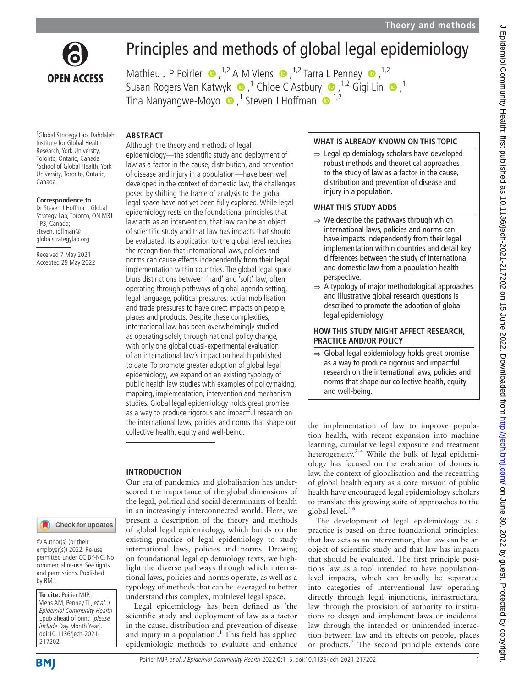

# Principles and methods of global legal epidemiology

MathieuJ P Poirier  $\bullet$ , <sup>1,2</sup> A M Viens  $\bullet$ , <sup>1,2</sup> Tarra L Penney  $\bullet$ , <sup>1,2</sup> SusanRogers Van Katwyk  $\bullet$ ,<sup>1</sup> Chloe C Astbury  $\bullet$ ,<sup>1,2</sup> Gigi Lin  $\bullet$ ,<sup>1</sup> TinaNanyangwe-Moyo  $\bullet$  ,<sup>1</sup> Steven J Hoffman  $\bullet$  <sup>1,2</sup>

#### **ABSTRACT**

1 Global Strategy Lab, Dahdaleh Institute for Global Health Research, York University, Toronto, Ontario, Canada <sup>2</sup>School of Global Health, York University, Toronto, Ontario, Canada

#### **Correspondence to**

Dr Steven J Hoffman, Global Strategy Lab, Toronto, ON M3J 1P3, Canada; steven.hoffman@ globalstrategylab.org

Received 7 May 2021 Accepted 29 May 2022

#### Check for updates

© Author(s) (or their employer(s)) 2022. Re-use permitted under CC BY-NC. No commercial re-use. See rights and permissions. Published by BMJ.

**To cite:** Poirier MJP, Viens AM, Penney TL, et al. J Epidemiol Community Health Epub ahead of print: [please include Day Month Year]. doi:10.1136/jech-2021- 217202

#### Poirier MJP, et al. J Epidemiol Community Health 2022;**0**:1–5. doi:10.1136/jech-2021-217202 1

## Although the theory and methods of legal epidemiology—the scientific study and deployment of law as a factor in the cause, distribution, and prevention of disease and injury in a population—have been well developed in the context of domestic law, the challenges posed by shifting the frame of analysis to the global legal space have not yet been fully explored. While legal epidemiology rests on the foundational principles that

law acts as an intervention, that law can be an object of scientific study and that law has impacts that should be evaluated, its application to the global level requires the recognition that international laws, policies and norms can cause effects independently from their legal implementation within countries. The global legal space blurs distinctions between 'hard' and 'soft' law, often operating through pathways of global agenda setting, legal language, political pressures, social mobilisation and trade pressures to have direct impacts on people, places and products. Despite these complexities, international law has been overwhelmingly studied as operating solely through national policy change, with only one global quasi-experimental evaluation of an international law's impact on health published to date. To promote greater adoption of global legal epidemiology, we expand on an existing typology of public health law studies with examples of policymaking, mapping, implementation, intervention and mechanism studies. Global legal epidemiology holds great promise as a way to produce rigorous and impactful research on the international laws, policies and norms that shape our collective health, equity and well-being.

### **INTRODUCTION**

Our era of pandemics and globalisation has underscored the importance of the global dimensions of the legal, political and social determinants of health in an increasingly interconnected world. Here, we present a description of the theory and methods of global legal epidemiology, which builds on the existing practice of legal epidemiology to study international laws, policies and norms. Drawing on foundational legal epidemiology texts, we highlight the diverse pathways through which international laws, policies and norms operate, as well as a typology of methods that can be leveraged to better understand this complex, multilevel legal space.

Legal epidemiology has been defined as 'the scientific study and deployment of law as a factor in the cause, distribution and prevention of disease and injury in a population'.<sup>1</sup> This field has applied epidemiologic methods to evaluate and enhance

#### **WHAT IS ALREADY KNOWN ON THIS TOPIC**

⇒ Legal epidemiology scholars have developed robust methods and theoretical approaches to the study of law as a factor in the cause, distribution and prevention of disease and injury in a population.

#### **WHAT THIS STUDY ADDS**

- $\Rightarrow$  We describe the pathways through which international laws, policies and norms can have impacts independently from their legal implementation within countries and detail key differences between the study of international and domestic law from a population health perspective.
- $\Rightarrow$  A typology of major methodological approaches and illustrative global research questions is described to promote the adoption of global legal epidemiology.

#### **HOW THIS STUDY MIGHT AFFECT RESEARCH, PRACTICE AND/OR POLICY**

⇒ Global legal epidemiology holds great promise as a way to produce rigorous and impactful research on the international laws, policies and norms that shape our collective health, equity and well-being.

the implementation of law to improve population health, with recent expansion into machine learning, cumulative legal exposure and treatment heterogeneity. $2-4$  While the bulk of legal epidemiology has focused on the evaluation of domestic law, the context of globalisation and the recentring of global health equity as a core mission of public health have encouraged legal epidemiology scholars to translate this growing suite of approaches to the global level. $56$ 

The development of legal epidemiology as a practice is based on three foundational principles: that law acts as an intervention, that law can be an object of scientific study and that law has impacts that should be evaluated. The first principle positions law as a tool intended to have populationlevel impacts, which can broadly be separated into categories of interventional law operating directly through legal injunctions, infrastructural law through the provision of authority to institutions to design and implement laws or incidental law through the intended or unintended interaction between law and its effects on people, places or products.<sup>[7](#page-3-3)</sup> The second principle extends core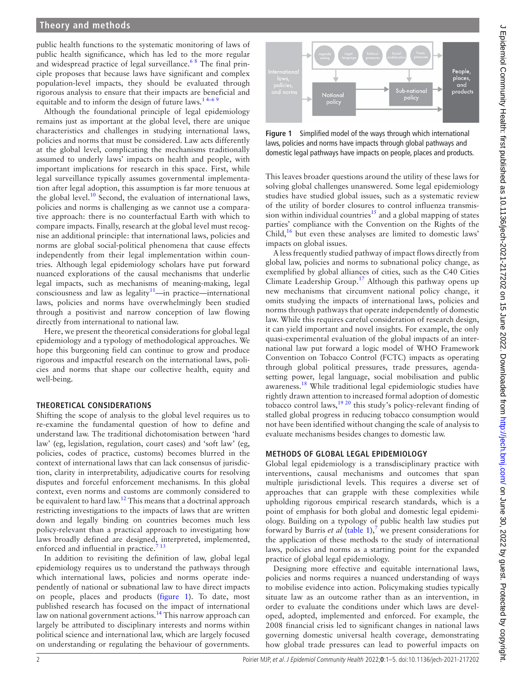#### **Theory and methods**

public health functions to the systematic monitoring of laws of public health significance, which has led to the more regular and widespread practice of legal surveillance.<sup>68</sup> The final principle proposes that because laws have significant and complex population-level impacts, they should be evaluated through rigorous analysis to ensure that their impacts are beneficial and equitable and to inform the design of future laws.<sup>14–6 9</sup>

Although the foundational principle of legal epidemiology remains just as important at the global level, there are unique characteristics and challenges in studying international laws, policies and norms that must be considered. Law acts differently at the global level, complicating the mechanisms traditionally assumed to underly laws' impacts on health and people, with important implications for research in this space. First, while legal surveillance typically assumes governmental implementation after legal adoption, this assumption is far more tenuous at the global level. $10$  Second, the evaluation of international laws, policies and norms is challenging as we cannot use a comparative approach: there is no counterfactual Earth with which to compare impacts. Finally, research at the global level must recognise an additional principle: that international laws, policies and norms are global social-political phenomena that cause effects independently from their legal implementation within countries. Although legal epidemiology scholars have put forward nuanced explorations of the causal mechanisms that underlie legal impacts, such as mechanisms of meaning-making, legal  $consciousness$  and law as legality $11$ —in practice—international laws, policies and norms have overwhelmingly been studied through a positivist and narrow conception of law flowing directly from international to national law.

Here, we present the theoretical considerations for global legal epidemiology and a typology of methodological approaches. We hope this burgeoning field can continue to grow and produce rigorous and impactful research on the international laws, policies and norms that shape our collective health, equity and well-being.

#### **THEORETICAL CONSIDERATIONS**

Shifting the scope of analysis to the global level requires us to re-examine the fundamental question of how to define and understand law. The traditional dichotomisation between 'hard law' (eg, legislation, regulation, court cases) and 'soft law' (eg, policies, codes of practice, customs) becomes blurred in the context of international laws that can lack consensus of jurisdiction, clarity in interpretability, adjudicative courts for resolving disputes and forceful enforcement mechanisms. In this global context, even norms and customs are commonly considered to be equivalent to hard law.<sup>12</sup> This means that a doctrinal approach restricting investigations to the impacts of laws that are written down and legally binding on countries becomes much less policy-relevant than a practical approach to investigating how laws broadly defined are designed, interpreted, implemented, enforced and influential in practice. $713$ 

In addition to revisiting the definition of law, global legal epidemiology requires us to understand the pathways through which international laws, policies and norms operate independently of national or subnational law to have direct impacts on people, places and products [\(figure](#page-1-0) 1). To date, most published research has focused on the impact of international law on national government actions.<sup>14</sup> This narrow approach can largely be attributed to disciplinary interests and norms within political science and international law, which are largely focused on understanding or regulating the behaviour of governments.



<span id="page-1-0"></span>**Figure 1** Simplified model of the ways through which international laws, policies and norms have impacts through global pathways and domestic legal pathways have impacts on people, places and products.

This leaves broader questions around the utility of these laws for solving global challenges unanswered. Some legal epidemiology studies have studied global issues, such as a systematic review of the utility of border closures to control influenza transmission within individual countries<sup>15</sup> and a global mapping of states parties' compliance with the Convention on the Rights of the Child,<sup>[16](#page-3-10)</sup> but even these analyses are limited to domestic laws' impacts on global issues.

A less frequently studied pathway of impact flows directly from global law, policies and norms to subnational policy change, as exemplified by global alliances of cities, such as the C40 Cities Climate Leadership Group.<sup>17</sup> Although this pathway opens up new mechanisms that circumvent national policy change, it omits studying the impacts of international laws, policies and norms through pathways that operate independently of domestic law. While this requires careful consideration of research design, it can yield important and novel insights. For example, the only quasi-experimental evaluation of the global impacts of an international law put forward a logic model of WHO Framework Convention on Tobacco Control (FCTC) impacts as operating through global political pressures, trade pressures, agendasetting power, legal language, social mobilisation and public awareness.[18](#page-3-12) While traditional legal epidemiologic studies have rightly drawn attention to increased formal adoption of domestic tobacco control laws,  $1920$  this study's policy-relevant finding of stalled global progress in reducing tobacco consumption would not have been identified without changing the scale of analysis to evaluate mechanisms besides changes to domestic law.

#### **METHODS OF GLOBAL LEGAL EPIDEMIOLOGY**

Global legal epidemiology is a transdisciplinary practice with interventions, causal mechanisms and outcomes that span multiple jurisdictional levels. This requires a diverse set of approaches that can grapple with these complexities while upholding rigorous empirical research standards, which is a point of emphasis for both global and domestic legal epidemiology. Building on a typology of public health law studies put forward by Burris *et al* ([table](#page-2-0) 1),<sup>[7](#page-3-3)</sup> we present considerations for the application of these methods to the study of international laws, policies and norms as a starting point for the expanded practice of global legal epidemiology.

Designing more effective and equitable international laws, policies and norms requires a nuanced understanding of ways to mobilise evidence into action. Policymaking studies typically situate law as an outcome rather than as an intervention, in order to evaluate the conditions under which laws are developed, adopted, implemented and enforced. For example, the 2008 financial crisis led to significant changes in national laws governing domestic universal health coverage, demonstrating how global trade pressures can lead to powerful impacts on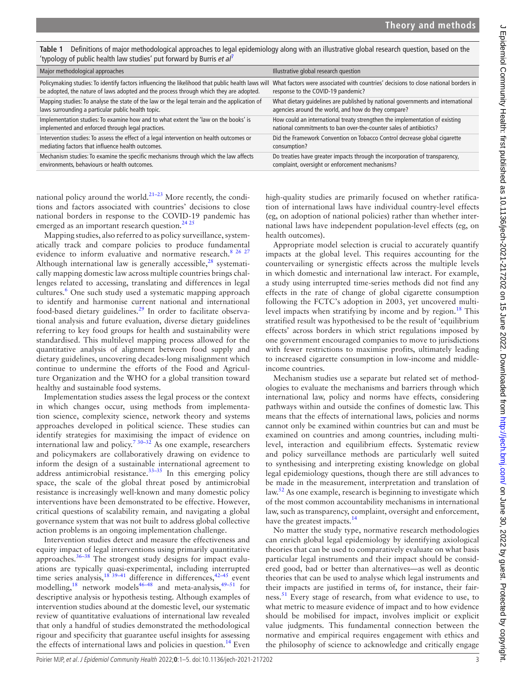| 'typology of public health law studies' put forward by Burris et al'                              |                                                                                     |
|---------------------------------------------------------------------------------------------------|-------------------------------------------------------------------------------------|
| Major methodological approaches                                                                   | Illustrative global research question                                               |
| Policymaking studies: To identify factors influencing the likelihood that public health laws will | What factors were associated with countries' decisions to close national borders in |
| be adopted, the nature of laws adopted and the process through which they are adopted.            | response to the COVID-19 pandemic?                                                  |
| Mapping studies: To analyse the state of the law or the legal terrain and the application of      | What dietary quidelines are published by national governments and international     |
| laws surrounding a particular public health topic.                                                | agencies around the world, and how do they compare?                                 |
| Implementation studies: To examine how and to what extent the 'law on the books' is               | How could an international treaty strengthen the implementation of existing         |
| implemented and enforced through legal practices.                                                 | national commitments to ban over-the-counter sales of antibiotics?                  |
| Intervention studies: To assess the effect of a legal intervention on health outcomes or          | Did the Framework Convention on Tobacco Control decrease global cigarette           |
| mediating factors that influence health outcomes.                                                 | consumption?                                                                        |
| Mechanism studies: To examine the specific mechanisms through which the law affects               | Do treaties have greater impacts through the incorporation of transparency,         |
| environments, behaviours or health outcomes.                                                      | complaint, oversight or enforcement mechanisms?                                     |

<span id="page-2-0"></span>**Table 1** Definitions of major methodological approaches to legal epidemiology along with an illustrative global research question, based on the 'typology of public health law studies' put forward by Burris *et al*[7](#page-3-3)

national policy around the world.<sup>[21–23](#page-3-14)</sup> More recently, the conditions and factors associated with countries' decisions to close national borders in response to the COVID-19 pandemic has emerged as an important research question.<sup>[24 25](#page-3-15)</sup>

Mapping studies, also referred to as policy surveillance, systematically track and compare policies to produce fundamental evidence to inform evaluative and normative research.<sup>8</sup> 26 27 Although international law is generally accessible, $28$  systematically mapping domestic law across multiple countries brings challenges related to accessing, translating and differences in legal cultures.<sup>[6](#page-3-4)</sup> One such study used a systematic mapping approach to identify and harmonise current national and international food-based dietary guidelines[.29](#page-3-18) In order to facilitate observational analysis and future evaluation, diverse dietary guidelines referring to key food groups for health and sustainability were standardised. This multilevel mapping process allowed for the quantitative analysis of alignment between food supply and dietary guidelines, uncovering decades-long misalignment which continue to undermine the efforts of the Food and Agriculture Organization and the WHO for a global transition toward healthy and sustainable food systems.

Implementation studies assess the legal process or the context in which changes occur, using methods from implementation science, complexity science, network theory and systems approaches developed in political science. These studies can identify strategies for maximising the impact of evidence on international law and policy.<sup>730–32</sup> As one example, researchers and policymakers are collaboratively drawing on evidence to inform the design of a sustainable international agreement to address antimicrobial resistance. $33-35$  In this emerging policy space, the scale of the global threat posed by antimicrobial resistance is increasingly well-known and many domestic policy interventions have been demonstrated to be effective. However, critical questions of scalability remain, and navigating a global governance system that was not built to address global collective action problems is an ongoing implementation challenge.

Intervention studies detect and measure the effectiveness and equity impact of legal interventions using primarily quantitative approaches.<sup>[36–38](#page-3-20)</sup> The strongest study designs for impact evaluations are typically quasi-experimental, including interrupted time series analysis,<sup>[18 39–41](#page-3-12)</sup> difference in differences,<sup>42–45</sup> event modelling,  $18$  network models<sup>46–48</sup> and meta-analysis,  $49-51$  for descriptive analysis or hypothesis testing. Although examples of intervention studies abound at the domestic level, our systematic review of quantitative evaluations of international law revealed that only a handful of studies demonstrated the methodological rigour and specificity that guarantee useful insights for assessing the effects of international laws and policies in question.<sup>14</sup> Even

high-quality studies are primarily focused on whether ratification of international laws have individual country-level effects (eg, on adoption of national policies) rather than whether international laws have independent population-level effects (eg, on health outcomes).

Appropriate model selection is crucial to accurately quantify impacts at the global level. This requires accounting for the countervailing or synergistic effects across the multiple levels in which domestic and international law interact. For example, a study using interrupted time-series methods did not find any effects in the rate of change of global cigarette consumption following the FCTC's adoption in 2003, yet uncovered multi-level impacts when stratifying by income and by region.<sup>[18](#page-3-12)</sup> This stratified result was hypothesised to be the result of 'equilibrium effects' across borders in which strict regulations imposed by one government encouraged companies to move to jurisdictions with fewer restrictions to maximise profits, ultimately leading to increased cigarette consumption in low-income and middleincome countries.

Mechanism studies use a separate but related set of methodologies to evaluate the mechanisms and barriers through which international law, policy and norms have effects, considering pathways within and outside the confines of domestic law. This means that the effects of international laws, policies and norms cannot only be examined within countries but can and must be examined on countries and among countries, including multilevel, interaction and equilibrium effects. Systematic review and policy surveillance methods are particularly well suited to synthesising and interpreting existing knowledge on global legal epidemiology questions, though there are still advances to be made in the measurement, interpretation and translation of law.<sup>[52](#page-4-3)</sup> As one example, research is beginning to investigate which of the most common accountability mechanisms in international law, such as transparency, complaint, oversight and enforcement, have the greatest impacts.<sup>[14](#page-3-8)</sup>

No matter the study type, normative research methodologies can enrich global legal epidemiology by identifying axiological theories that can be used to comparatively evaluate on what basis particular legal instruments and their impact should be considered good, bad or better than alternatives—as well as deontic theories that can be used to analyse which legal instruments and their impacts are justified in terms of, for instance, their fairness.<sup>51</sup> Every stage of research, from what evidence to use, to what metric to measure evidence of impact and to how evidence should be mobilised for impact, involves implicit or explicit value judgments. This fundamental connection between the normative and empirical requires engagement with ethics and the philosophy of science to acknowledge and critically engage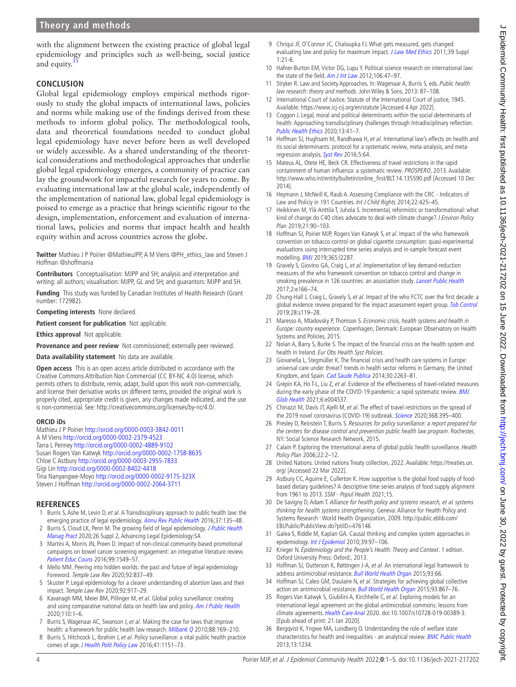#### **Theory and methods**

with the alignment between the existing practice of global legal epidemiology and principles such as well-being, social justice and equity.<sup>[53](#page-4-5)</sup>

#### **CONCLUSION**

Global legal epidemiology employs empirical methods rigorously to study the global impacts of international laws, policies and norms while making use of the findings derived from these methods to inform global policy. The methodological tools, data and theoretical foundations needed to conduct global legal epidemiology have never before been as well developed or widely accessible. As a shared understanding of the theoretical considerations and methodological approaches that underlie global legal epidemiology emerges, a community of practice can lay the groundwork for impactful research for years to come. By evaluating international law at the global scale, independently of the implementation of national law, global legal epidemiology is poised to emerge as a practice that brings scientific rigour to the design, implementation, enforcement and evaluation of international laws, policies and norms that impact health and health equity within and across countries across the globe.

**Twitter** Mathieu J P Poirier [@MathieuJPP](https://twitter.com/MathieuJPP), A M Viens [@PH\\_ethics\\_law](https://twitter.com/PH_ethics_law) and Steven J Hoffman [@shoffmania](https://twitter.com/shoffmania)

**Contributors** Conceptualisation: MJPP and SH; analysis and interpretation and writing: all authors; visualisation: MJPP, GL and SH; and guarantors: MJPP and SH.

**Funding** This study was funded by Canadian Institutes of Health Research (Grant number: 172982).

**Competing interests** None declared.

**Patient consent for publication** Not applicable.

**Ethics approval** Not applicable.

**Provenance and peer review** Not commissioned; externally peer reviewed.

**Data availability statement** No data are available.

**Open access** This is an open access article distributed in accordance with the Creative Commons Attribution Non Commercial (CC BY-NC 4.0) license, which permits others to distribute, remix, adapt, build upon this work non-commercially, and license their derivative works on different terms, provided the original work is properly cited, appropriate credit is given, any changes made indicated, and the use is non-commercial. See: <http://creativecommons.org/licenses/by-nc/4.0/>.

#### **ORCID iDs**

Mathieu J P Poirier<http://orcid.org/0000-0003-3842-0011> A M Viens<http://orcid.org/0000-0002-2379-4523> Tarra L Penney <http://orcid.org/0000-0002-4889-9102> Susan Rogers Van Katwyk <http://orcid.org/0000-0002-1758-8635> Chloe C Astbury<http://orcid.org/0000-0003-2955-7833> Gigi Lin <http://orcid.org/0000-0002-8402-4418> Tina Nanyangwe-Moyo <http://orcid.org/0000-0002-9175-323X> Steven J Hoffman<http://orcid.org/0000-0002-2064-3711>

#### **REFERENCES**

- <span id="page-3-0"></span>1 Burris S, Ashe M, Levin D, et al. A Transdisciplinary approach to public health law: the emerging practice of legal epidemiology. [Annu Rev Public Health](http://dx.doi.org/10.1146/annurev-publhealth-032315-021841) 2016;37:135-48.
- <span id="page-3-1"></span>2 Burris S, Cloud LK, Penn M. The growing field of legal epidemiology. J Public Health [Manag Pract](http://dx.doi.org/10.1097/PHH.0000000000001133) 2020;26 Suppl 2, Advancing Legal Epidemiology:S4.
- 3 Martini A, Morris JN, Preen D. Impact of non-clinical community-based promotional campaigns on bowel cancer screening engagement: an integrative literature review. [Patient Educ Couns](http://dx.doi.org/10.1016/j.pec.2016.05.012) 2016;99:1549–57.
- 4 Mello MM. Peering into hidden worlds: the past and future of legal epidemiology Foreword. Temple Law Rev 2020;92:837–49.
- <span id="page-3-2"></span>5 Skuster P. Legal epidemiology for a clearer understanding of abortion laws and their impact. Temple Law Rev 2020;92:917–29.
- <span id="page-3-4"></span>6 Kavanagh MM, Meier BM, Pillinger M, et al. Global policy surveillance: creating and using comparative national data on health law and policy. [Am J Public Health](http://dx.doi.org/10.2105/AJPH.2020.305892) 2020;110:1–6.
- <span id="page-3-3"></span>7 Burris S, Wagenaar AC, Swanson J, et al. Making the case for laws that improve health: a framework for public health law research. [Milbank Q](http://dx.doi.org/10.1111/j.1468-0009.2010.00595.x) 2010;88:169-210.
- <span id="page-3-16"></span>8 Burris S, Hitchcock L, Ibrahim J, et al. Policy surveillance: a vital public health practice comes of age. [J Health Polit Policy Law](http://dx.doi.org/10.1215/03616878-3665931) 2016;41:1151-73.
- 9 Chriqui JF, O'Connor JC, Chaloupka FJ. What gets measured, gets changed: evaluating law and policy for maximum impact. [J Law Med Ethics](http://dx.doi.org/10.1111/j.1748-720X.2011.00559.x) 2011;39 Suppl  $1:21-6$
- <span id="page-3-5"></span>10 Hafner-Burton EM, Victor DG, Lupu Y. Political science research on international law: the state of the field. [Am J Int Law](http://dx.doi.org/10.5305/amerjintelaw.106.1.0047) 2012;106:47-97.
- <span id="page-3-6"></span>11 Stryker R. Law and Society Approaches. In: Wagenaar A, Burris S, eds. Public health law research: theory and methods. John Wiley & Sons, 2013: 87-108.
- <span id="page-3-7"></span>12 International Court of Justice. Statute of the International Court of justice, 1945. Available:<https://www.icj-cij.org/en/statute> [Accessed 4 Apr 2022].
- 13 Coggon J. Legal, moral and political determinants within the social determinants of health: Approaching transdisciplinary challenges through Intradisciplinary reflection. [Public Health Ethics](http://dx.doi.org/10.1093/phe/phaa009) 2020;13:41–7.
- <span id="page-3-8"></span>14 Hoffman SJ, Hughsam M, Randhawa H, et al. International law's effects on health and its social determinants: protocol for a systematic review, meta-analysis, and meta-regression analysis. [Syst Rev](http://dx.doi.org/10.1186/s13643-016-0238-0) 2016;5:64.
- <span id="page-3-9"></span>15 Mateus AL, Otete HE, Beck CR. Effectiveness of travel restrictions in the rapid containment of human influenza: a systematic review. PROSPERO, 2013. Available: [http://www.who.int/entity/bulletin/online\\_first/BLT.14.135590.pdf](http://www.who.int/entity/bulletin/online_first/BLT.14.135590.pdf) [Accessed 10 Dec 2014].
- <span id="page-3-10"></span>16 Heymann J, McNeill K, Raub A. Assessing Compliance with the CRC - Indicators of Law and Policiy in 191 Countries. Int J Child Rights 2014;22:425–45.
- <span id="page-3-11"></span>17 Heikkinen M, Ylä-Anttila T, Juhola S. Incremental, reformistic or transformational: what kind of change do C40 cities advocate to deal with climate change? *J Environ Policy* Plan 2019;21:90–103.
- <span id="page-3-12"></span>18 Hoffman SJ, Poirier MJP, Rogers Van Katwyk S, et al. Impact of the who framework convention on tobacco control on global cigarette consumption: quasi-experimental evaluations using interrupted time series analysis and in-sample forecast event modelling. [BMJ](http://dx.doi.org/10.1136/bmj.l2287) 2019;365:l2287.
- <span id="page-3-13"></span>19 Gravely S, Giovino GA, Craig L, et al. Implementation of key demand-reduction measures of the who framework convention on tobacco control and change in smoking prevalence in 126 countries: an association study. [Lancet Public Health](http://dx.doi.org/10.1016/S2468-2667(17)30045-2) 2017;2:e166–74.
- 20 Chung-Hall J, Craig L, Gravely S, et al. Impact of the who FCTC over the first decade: a global evidence review prepared for the impact assessment expert group. [Tob Control](http://dx.doi.org/10.1136/tobaccocontrol-2018-054389) 2019;28:s119–28.
- <span id="page-3-14"></span>21 Maresso A, Mladovsky P, Thomson S. Economic crisis, health systems and health in Europe: country experience. Copenhagen, Denmark: European Observatory on Health Systems and Policies, 2015.
- 22 Nolan A, Barry S, Burke S. The impact of the financial crisis on the health system and health in Ireland. Eur Obs Health Syst Policies.
- 23 Giovanella L, Stegmüller K. The financial crisis and health care systems in Europe: universal care under threat? trends in health sector reforms in Germany, the United Kingdom, and Spain. [Cad Saude Publica](http://dx.doi.org/10.1590/0102-311X00021314) 2014;30:2263-81.
- <span id="page-3-15"></span>24 Grépin KA, Ho T-L, Liu Z, et al. Evidence of the effectiveness of travel-related measures during the early phase of the COVID-19 pandemic: a rapid systematic review. **BMJ** [Glob Health](http://dx.doi.org/10.1136/bmjgh-2020-004537) 2021;6:e004537.
- 25 Chinazzi M, Davis JT, Ajelli M, et al. The effect of travel restrictions on the spread of the 2019 novel coronavirus (COVID-19) outbreak. [Science](http://dx.doi.org/10.1126/science.aba9757) 2020;368:395-400.
- 26 Presley D, Reinstein T, Burris S. Resources for policy surveillance: a report prepared for the centers for disease control and prevention public health law program. Rochester, NY: Social Science Research Network, 2015.
- 27 Calain P. Exploring the International arena of global public health surveillance. Health Policy Plan 2006;22:2–12.
- <span id="page-3-17"></span>28 United Nations. United nations Treaty collection, 2022. Available: [https://treaties.un.](https://treaties.un.org/) [org/](https://treaties.un.org/) [Accessed 22 Mar 2022].
- <span id="page-3-18"></span>29 Astbury CC, Aguirre E, Cullerton K. How supportive is the global food supply of foodbased dietary guidelines? A descriptive time series analysis of food supply alignment from 1961 to 2013. SSM - Popul Health 2021;15.
- 30 De Savigny D, Adam T. Alliance for health policy and systems research, et al. systems thinking for health systems strengthening. Geneva: Alliance for Health Policy and Systems Research : World Health Organization, 2009. [http://public.eblib.com/](http://public.eblib.com/EBLPublic/PublicView.do?ptiID=476146) [EBLPublic/PublicView.do?ptiID=476146](http://public.eblib.com/EBLPublic/PublicView.do?ptiID=476146)
- 31 Galea S, Riddle M, Kaplan GA. Causal thinking and complex system approaches in epidemiology. [Int J Epidemiol](http://dx.doi.org/10.1093/ije/dyp296) 2010;39:97-106.
- 32 Krieger N. Epidemiology and the People's Health: Theory and Context. 1 edition. Oxford University Press: Oxford:, 2013.
- <span id="page-3-19"></span>33 Hoffman SJ, Outterson K, Røttingen J-A, et al. An international legal framework to address antimicrobial resistance. [Bull World Health Organ](http://dx.doi.org/10.2471/BLT.15.152710) 2015;93:66.
- 34 Hoffman SJ, Caleo GM, Daulaire N, et al. Strategies for achieving global collective action on antimicrobial resistance. [Bull World Health Organ](http://dx.doi.org/10.2471/BLT.15.153171) 2015:93:867-76.
- 35 Rogers Van Katwyk S, Giubilini A, Kirchhelle C, et al. Exploring models for an international legal agreement on the global antimicrobial commons: lessons from climate agreements. [Health Care Anal](http://dx.doi.org/10.1007/s10728-019-00389-3) 2020. doi:10.1007/s10728-019-00389-3. [Epub ahead of print: 21 Jan 2020].
- <span id="page-3-20"></span>36 Bergqvist K, Yngwe MA, Lundberg O. Understanding the role of welfare state characteristics for health and inequalities - an analytical review. [BMC Public Health](http://dx.doi.org/10.1186/1471-2458-13-1234) 2013;13:1234.